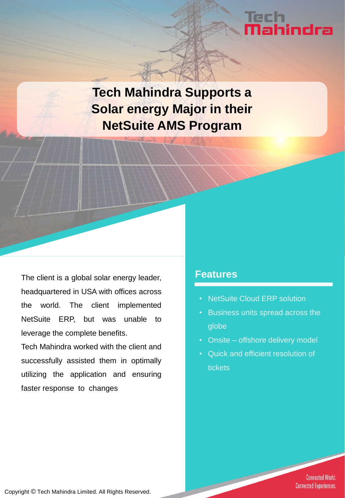# lech<br>**Nahindra**

**Tech Mahindra Supports a Solar energy Major in their NetSuite AMS Program**

The client is a global solar energy leader, headquartered in USA with offices across the world. The client implemented NetSuite ERP, but was unable to leverage the complete benefits.

Tech Mahindra worked with the client and successfully assisted them in optimally utilizing the application and ensuring faster response to changes

#### **Features**

- **NetSuite Cloud ERP solution**
- Business units spread across the globe
- Onsite offshore delivery model
- Quick and efficient resolution of tickets

**Connected World. Connected Experiences.** 

Copyright © Tech Mahindra Limited. All Rights Reserved.